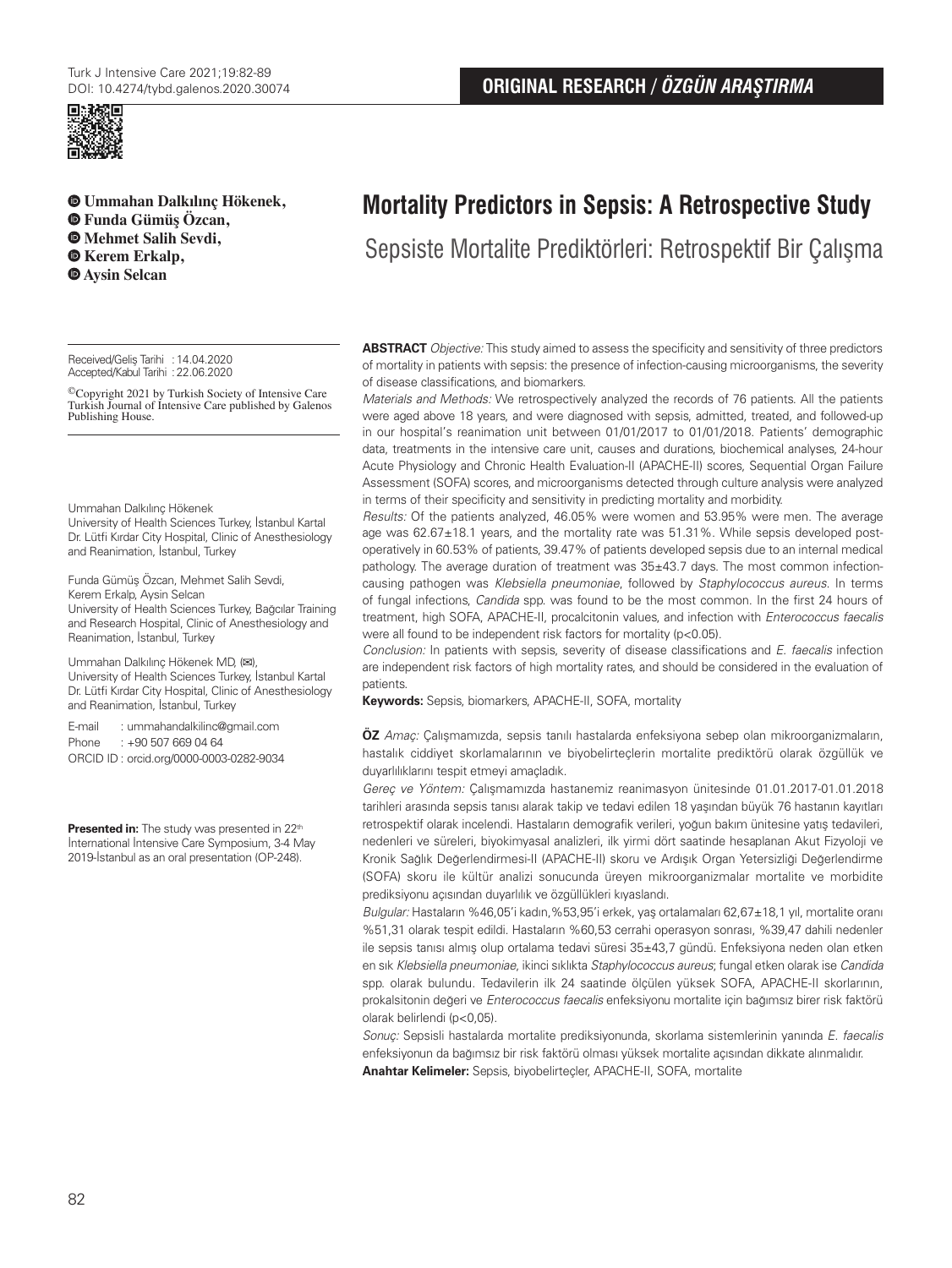

**Ummahan Dalkılınç Hökenek, Funda Gümüş Özcan, Mehmet Salih Sevdi,**   $\bullet$  **Kerem Erkalp, Aysin Selcan**

Received/Gelis Tarihi : 14.04.2020 Accepted/Kabul Tarihi :22.06.2020

©Copyright 2021 by Turkish Society of Intensive Care Turkish Journal of Intensive Care published by Galenos Publishing House.

Ummahan Dalkılınç Hökenek

University of Health Sciences Turkey, İstanbul Kartal Dr. Lütfi Kırdar City Hospital, Clinic of Anesthesiology and Reanimation, İstanbul, Turkey

Funda Gümüş Özcan, Mehmet Salih Sevdi, Kerem Erkalp, Aysin Selcan University of Health Sciences Turkey, Bağcılar Training and Research Hospital, Clinic of Anesthesiology and Reanimation, İstanbul, Turkey

Ummahan Dalkılınç Hökenek MD, (**✉**), University of Health Sciences Turkey, İstanbul Kartal Dr. Lütfi Kırdar City Hospital, Clinic of Anesthesiology and Reanimation, İstanbul, Turkey

E-mail : ummahandalkilinc@gmail.com Phone : +90 507 669 04 64 ORCID ID : orcid.org/0000-0003-0282-9034

**Presented in:** The study was presented in 22<sup>th</sup> İnternational İntensive Care Symposium, 3-4 May 2019-İstanbul as an oral presentation (OP-248).

# **Mortality Predictors in Sepsis: A Retrospective Study**

Sepsiste Mortalite Prediktörleri: Retrospektif Bir Çalışma

**ABSTRACT** Objective: This study aimed to assess the specificity and sensitivity of three predictors of mortality in patients with sepsis: the presence of infection-causing microorganisms, the severity of disease classifications, and biomarkers.

Materials and Methods: We retrospectively analyzed the records of 76 patients. All the patients were aged above 18 years, and were diagnosed with sepsis, admitted, treated, and followed-up in our hospital's reanimation unit between 01/01/2017 to 01/01/2018. Patients' demographic data, treatments in the intensive care unit, causes and durations, biochemical analyses, 24-hour Acute Physiology and Chronic Health Evaluation-II (APACHE-II) scores, Sequential Organ Failure Assessment (SOFA) scores, and microorganisms detected through culture analysis were analyzed in terms of their specificity and sensitivity in predicting mortality and morbidity.

Results: Of the patients analyzed, 46.05% were women and 53.95% were men. The average age was 62.67±18.1 years, and the mortality rate was 51.31%. While sepsis developed postoperatively in 60.53% of patients, 39.47% of patients developed sepsis due to an internal medical pathology. The average duration of treatment was 35±43.7 days. The most common infectioncausing pathogen was Klebsiella pneumoniae, followed by Staphylococcus aureus. In terms of fungal infections, Candida spp. was found to be the most common. In the first 24 hours of treatment, high SOFA, APACHE-II, procalcitonin values, and infection with Enterococcus faecalis were all found to be independent risk factors for mortality (p<0.05).

Conclusion: In patients with sepsis, severity of disease classifications and E. faecalis infection are independent risk factors of high mortality rates, and should be considered in the evaluation of patients.

**Keywords:** Sepsis, biomarkers, APACHE-II, SOFA, mortality

**ÖZ** Amaç: Çalışmamızda, sepsis tanılı hastalarda enfeksiyona sebep olan mikroorganizmaların, hastalık ciddiyet skorlamalarının ve biyobelirteçlerin mortalite prediktörü olarak özgüllük ve duyarlılıklarını tespit etmeyi amaçladık.

Gereç ve Yöntem: Çalışmamızda hastanemiz reanimasyon ünitesinde 01.01.2017-01.01.2018 tarihleri arasında sepsis tanısı alarak takip ve tedavi edilen 18 yaşından büyük 76 hastanın kayıtları retrospektif olarak incelendi. Hastaların demografik verileri, yoğun bakım ünitesine yatış tedavileri, nedenleri ve süreleri, biyokimyasal analizleri, ilk yirmi dört saatinde hesaplanan Akut Fizyoloji ve Kronik Sağlık Değerlendirmesi-II (APACHE-II) skoru ve Ardışık Organ Yetersizliği Değerlendirme (SOFA) skoru ile kültür analizi sonucunda üreyen mikroorganizmalar mortalite ve morbidite prediksiyonu açısından duyarlılık ve özgüllükleri kıyaslandı.

Bulgular: Hastaların %46,05'i kadın,%53,95'i erkek, yaş ortalamaları 62,67±18,1 yıl, mortalite oranı %51,31 olarak tespit edildi. Hastaların %60,53 cerrahi operasyon sonrası, %39,47 dahili nedenler ile sepsis tanısı almış olup ortalama tedavi süresi 35±43,7 gündü. Enfeksiyona neden olan etken en sık Klebsiella pneumoniae, ikinci sıklıkta Staphylococcus aureus; fungal etken olarak ise Candida spp. olarak bulundu. Tedavilerin ilk 24 saatinde ölçülen yüksek SOFA, APACHE-II skorlarının, prokalsitonin değeri ve Enterococcus faecalis enfeksiyonu mortalite için bağımsız birer risk faktörü olarak belirlendi (p<0,05).

Sonuç: Sepsisli hastalarda mortalite prediksiyonunda, skorlama sistemlerinin yanında E. faecalis enfeksiyonun da bağımsız bir risk faktörü olması yüksek mortalite açısından dikkate alınmalıdır. **Anahtar Kelimeler:** Sepsis, biyobelirteçler, APACHE-II, SOFA, mortalite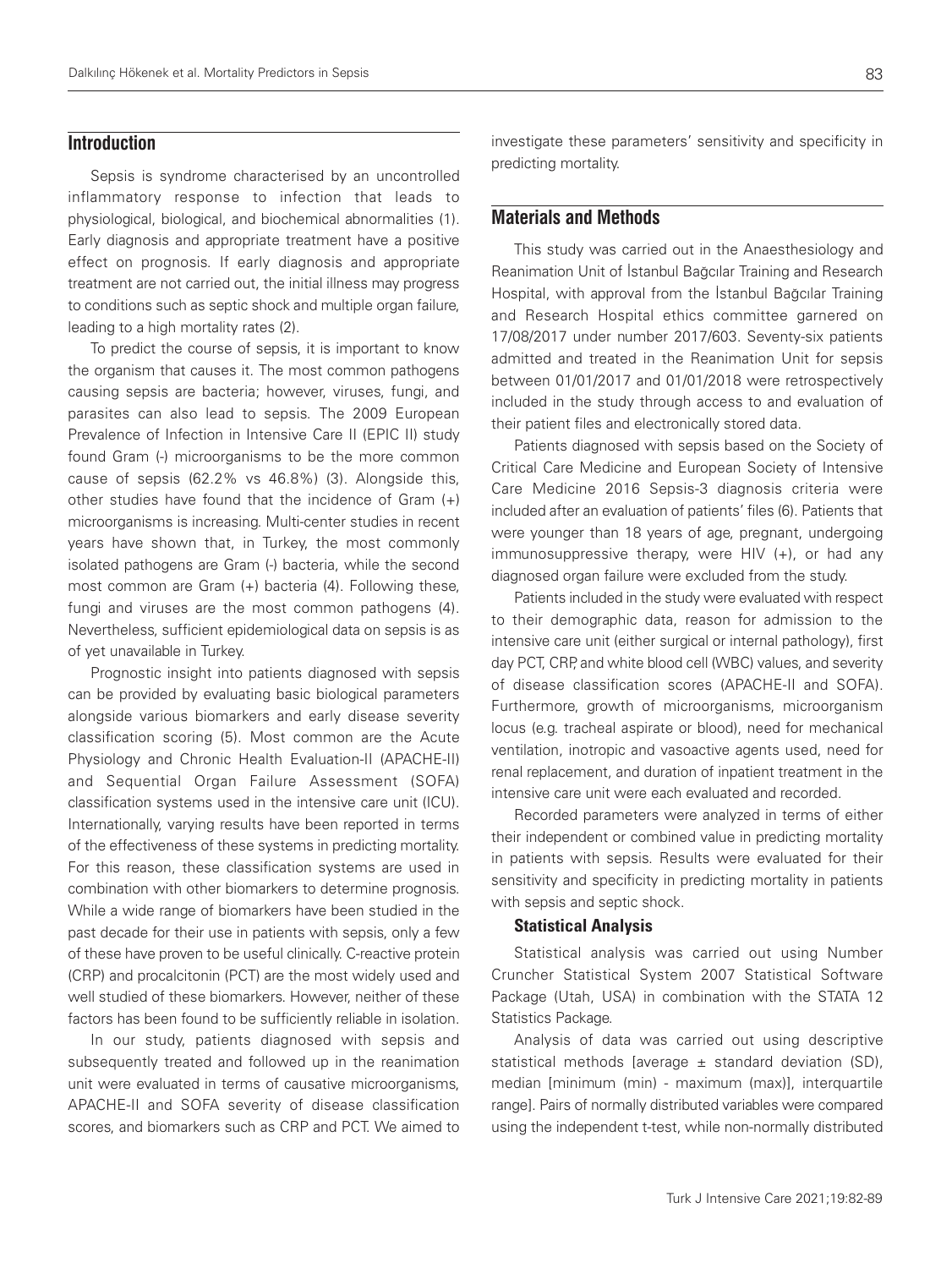# **Introduction**

Sepsis is syndrome characterised by an uncontrolled inflammatory response to infection that leads to physiological, biological, and biochemical abnormalities (1). Early diagnosis and appropriate treatment have a positive effect on prognosis. If early diagnosis and appropriate treatment are not carried out, the initial illness may progress to conditions such as septic shock and multiple organ failure, leading to a high mortality rates (2).

To predict the course of sepsis, it is important to know the organism that causes it. The most common pathogens causing sepsis are bacteria; however, viruses, fungi, and parasites can also lead to sepsis. The 2009 European Prevalence of Infection in Intensive Care II (EPIC II) study found Gram (-) microorganisms to be the more common cause of sepsis (62.2% vs 46.8%) (3). Alongside this, other studies have found that the incidence of Gram (+) microorganisms is increasing. Multi-center studies in recent years have shown that, in Turkey, the most commonly isolated pathogens are Gram (-) bacteria, while the second most common are Gram (+) bacteria (4). Following these, fungi and viruses are the most common pathogens (4). Nevertheless, sufficient epidemiological data on sepsis is as of yet unavailable in Turkey.

Prognostic insight into patients diagnosed with sepsis can be provided by evaluating basic biological parameters alongside various biomarkers and early disease severity classification scoring (5). Most common are the Acute Physiology and Chronic Health Evaluation-II (APACHE-II) and Sequential Organ Failure Assessment (SOFA) classification systems used in the intensive care unit (ICU). Internationally, varying results have been reported in terms of the effectiveness of these systems in predicting mortality. For this reason, these classification systems are used in combination with other biomarkers to determine prognosis. While a wide range of biomarkers have been studied in the past decade for their use in patients with sepsis, only a few of these have proven to be useful clinically. C-reactive protein (CRP) and procalcitonin (PCT) are the most widely used and well studied of these biomarkers. However, neither of these factors has been found to be sufficiently reliable in isolation.

In our study, patients diagnosed with sepsis and subsequently treated and followed up in the reanimation unit were evaluated in terms of causative microorganisms, APACHE-II and SOFA severity of disease classification scores, and biomarkers such as CRP and PCT. We aimed to investigate these parameters' sensitivity and specificity in predicting mortality.

# **Materials and Methods**

This study was carried out in the Anaesthesiology and Reanimation Unit of İstanbul Bağcılar Training and Research Hospital, with approval from the İstanbul Bağcılar Training and Research Hospital ethics committee garnered on 17/08/2017 under number 2017/603. Seventy-six patients admitted and treated in the Reanimation Unit for sepsis between 01/01/2017 and 01/01/2018 were retrospectively included in the study through access to and evaluation of their patient files and electronically stored data.

Patients diagnosed with sepsis based on the Society of Critical Care Medicine and European Society of Intensive Care Medicine 2016 Sepsis-3 diagnosis criteria were included after an evaluation of patients' files (6). Patients that were younger than 18 years of age, pregnant, undergoing immunosuppressive therapy, were HIV (+), or had any diagnosed organ failure were excluded from the study.

Patients included in the study were evaluated with respect to their demographic data, reason for admission to the intensive care unit (either surgical or internal pathology), first day PCT, CRP, and white blood cell (WBC) values, and severity of disease classification scores (APACHE-II and SOFA). Furthermore, growth of microorganisms, microorganism locus (e.g. tracheal aspirate or blood), need for mechanical ventilation, inotropic and vasoactive agents used, need for renal replacement, and duration of inpatient treatment in the intensive care unit were each evaluated and recorded.

Recorded parameters were analyzed in terms of either their independent or combined value in predicting mortality in patients with sepsis. Results were evaluated for their sensitivity and specificity in predicting mortality in patients with sepsis and septic shock.

### Statistical Analysis

Statistical analysis was carried out using Number Cruncher Statistical System 2007 Statistical Software Package (Utah, USA) in combination with the STATA 12 Statistics Package.

Analysis of data was carried out using descriptive statistical methods [average  $\pm$  standard deviation (SD), median [minimum (min) - maximum (max)], interquartile range]. Pairs of normally distributed variables were compared using the independent t-test, while non-normally distributed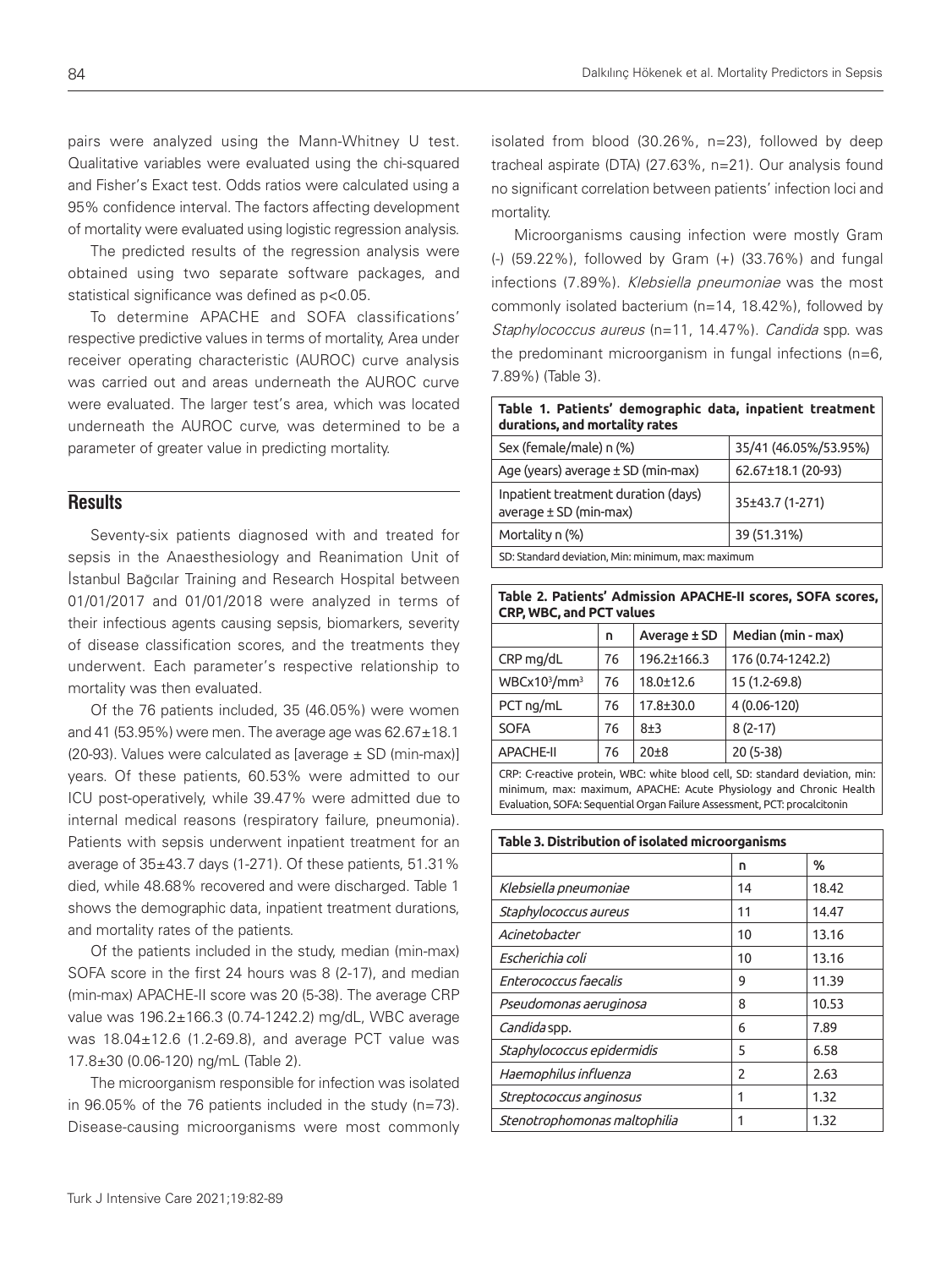pairs were analyzed using the Mann-Whitney U test. Qualitative variables were evaluated using the chi-squared and Fisher's Exact test. Odds ratios were calculated using a 95% confidence interval. The factors affecting development of mortality were evaluated using logistic regression analysis.

The predicted results of the regression analysis were obtained using two separate software packages, and statistical significance was defined as p<0.05.

To determine APACHE and SOFA classifications' respective predictive values in terms of mortality, Area under receiver operating characteristic (AUROC) curve analysis was carried out and areas underneath the AUROC curve were evaluated. The larger test's area, which was located underneath the AUROC curve, was determined to be a parameter of greater value in predicting mortality.

### **Results**

Seventy-six patients diagnosed with and treated for sepsis in the Anaesthesiology and Reanimation Unit of İstanbul Bağcılar Training and Research Hospital between 01/01/2017 and 01/01/2018 were analyzed in terms of their infectious agents causing sepsis, biomarkers, severity of disease classification scores, and the treatments they underwent. Each parameter's respective relationship to mortality was then evaluated.

Of the 76 patients included, 35 (46.05%) were women and 41 (53.95%) were men. The average age was  $62.67 \pm 18.1$ (20-93). Values were calculated as [average  $\pm$  SD (min-max)] years. Of these patients, 60.53% were admitted to our ICU post-operatively, while 39.47% were admitted due to internal medical reasons (respiratory failure, pneumonia). Patients with sepsis underwent inpatient treatment for an average of 35±43.7 days (1-271). Of these patients, 51.31% died, while 48.68% recovered and were discharged. Table 1 shows the demographic data, inpatient treatment durations, and mortality rates of the patients.

Of the patients included in the study, median (min-max) SOFA score in the first 24 hours was 8 (2-17), and median (min-max) APACHE-II score was 20 (5-38). The average CRP value was 196.2±166.3 (0.74-1242.2) mg/dL, WBC average was 18.04±12.6 (1.2-69.8), and average PCT value was 17.8±30 (0.06-120) ng/mL (Table 2).

The microorganism responsible for infection was isolated in 96.05% of the 76 patients included in the study (n=73). Disease-causing microorganisms were most commonly isolated from blood (30.26%, n=23), followed by deep tracheal aspirate (DTA) (27.63%, n=21). Our analysis found no significant correlation between patients' infection loci and mortality.

Microorganisms causing infection were mostly Gram (-) (59.22%), followed by Gram (+) (33.76%) and fungal infections (7.89%). Klebsiella pneumoniae was the most commonly isolated bacterium (n=14, 18.42%), followed by Staphylococcus aureus (n=11, 14.47%). Candida spp. was the predominant microorganism in fungal infections (n=6, 7.89%) (Table 3).

| Table 1. Patients' demographic data, inpatient treatment<br>durations, and mortality rates |                       |  |  |  |  |  |
|--------------------------------------------------------------------------------------------|-----------------------|--|--|--|--|--|
| Sex (female/male) n (%)                                                                    | 35/41 (46.05%/53.95%) |  |  |  |  |  |
| Age (years) average $\pm$ SD (min-max)                                                     | 62.67±18.1 (20-93)    |  |  |  |  |  |
| Inpatient treatment duration (days)<br>average $\pm$ SD (min-max)                          | 35±43.7 (1-271)       |  |  |  |  |  |
| Mortality n (%)                                                                            | 39 (51.31%)           |  |  |  |  |  |
| SD: Standard deviation, Min: minimum, max: maximum                                         |                       |  |  |  |  |  |

**Table 2. Patients' Admission APACHE-II scores, SOFA scores, CRP, WBC, and PCT values**

|                  | n  | Average ± SD    | Median (min - max) |  |  |
|------------------|----|-----------------|--------------------|--|--|
| $CRP$ mg/dL      | 76 | 196.2±166.3     | 176 (0.74-1242.2)  |  |  |
| $WBCx10^3/mm^3$  | 76 | $18.0 \pm 12.6$ | 15 (1.2-69.8)      |  |  |
| $PCT$ ng/mL      | 76 | $17.8 + 30.0$   | 4 (0.06-120)       |  |  |
| <b>SOFA</b>      | 76 | $8 + 3$         | $8(2-17)$          |  |  |
| <b>APACHE-II</b> | 76 | $20+8$          | $20(5-38)$         |  |  |

CRP: C-reactive protein, WBC: white blood cell, SD: standard deviation, min: minimum, max: maximum, APACHE: Acute Physiology and Chronic Health Evaluation, SOFA: Sequential Organ Failure Assessment, PCT: procalcitonin

| Table 3. Distribution of isolated microorganisms |               |       |  |  |  |
|--------------------------------------------------|---------------|-------|--|--|--|
|                                                  | n             | ℅     |  |  |  |
| Klebsiella pneumoniae                            | 14            | 18.42 |  |  |  |
| Staphylococcus aureus                            | 11            | 14.47 |  |  |  |
| Acinetobacter                                    | 10            | 13.16 |  |  |  |
| Escherichia coli                                 | 10            | 13.16 |  |  |  |
| Enterococcus faecalis                            | 9             | 11.39 |  |  |  |
| Pseudomonas aeruginosa                           | 8             | 10.53 |  |  |  |
| <i>Candida</i> spp.                              | 6             | 7.89  |  |  |  |
| Staphylococcus epidermidis                       | 5             | 6.58  |  |  |  |
| Haemophilus influenza                            | $\mathcal{P}$ | 2.63  |  |  |  |
| Streptococcus anginosus                          |               | 1.32  |  |  |  |
| Stenotrophomonas maltophilia                     |               | 1.32  |  |  |  |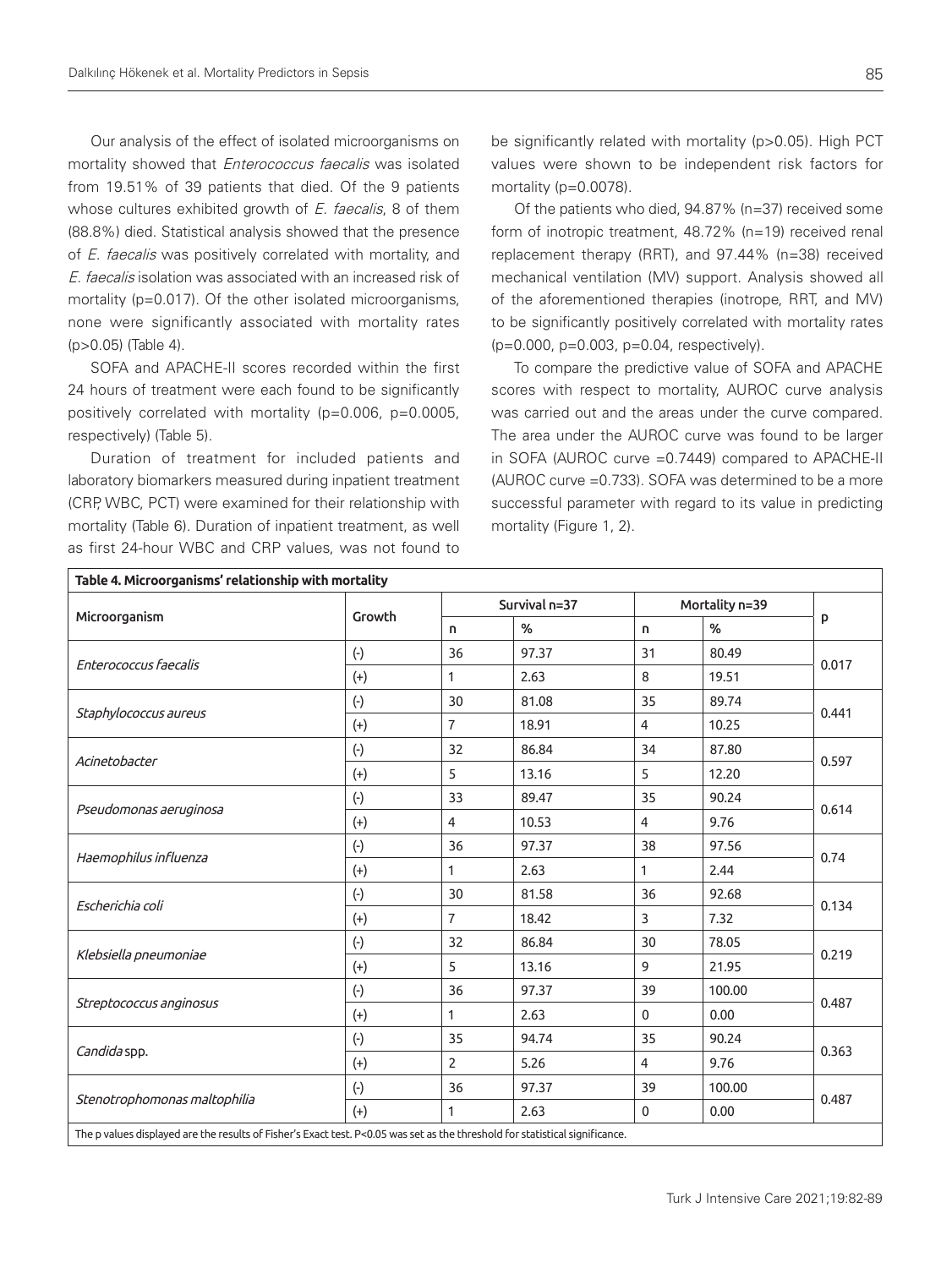Our analysis of the effect of isolated microorganisms on mortality showed that *Enterococcus faecalis* was isolated from 19.51% of 39 patients that died. Of the 9 patients whose cultures exhibited growth of E. faecalis, 8 of them (88.8%) died. Statistical analysis showed that the presence of *E. faecalis* was positively correlated with mortality, and E. faecalis isolation was associated with an increased risk of mortality (p=0.017). Of the other isolated microorganisms, none were significantly associated with mortality rates (p>0.05) (Table 4).

SOFA and APACHE-II scores recorded within the first 24 hours of treatment were each found to be significantly positively correlated with mortality (p=0.006, p=0.0005, respectively) (Table 5).

Duration of treatment for included patients and laboratory biomarkers measured during inpatient treatment (CRP, WBC, PCT) were examined for their relationship with mortality (Table 6). Duration of inpatient treatment, as well as first 24-hour WBC and CRP values, was not found to

be significantly related with mortality (p>0.05). High PCT values were shown to be independent risk factors for mortality (p=0.0078).

Of the patients who died, 94.87% (n=37) received some form of inotropic treatment, 48.72% (n=19) received renal replacement therapy (RRT), and 97.44% (n=38) received mechanical ventilation (MV) support. Analysis showed all of the aforementioned therapies (inotrope, RRT, and MV) to be significantly positively correlated with mortality rates (p=0.000, p=0.003, p=0.04, respectively).

To compare the predictive value of SOFA and APACHE scores with respect to mortality, AUROC curve analysis was carried out and the areas under the curve compared. The area under the AUROC curve was found to be larger in SOFA (AUROC curve =0.7449) compared to APACHE-II (AUROC curve =0.733). SOFA was determined to be a more successful parameter with regard to its value in predicting mortality (Figure 1, 2).

| Microorganism                | Growth    |                | Survival n=37 |                | Mortality n=39 |       |  |
|------------------------------|-----------|----------------|---------------|----------------|----------------|-------|--|
|                              |           | n.             | %             | n.             | %              | P     |  |
|                              | $(\cdot)$ | 36             | 97.37         | 31             | 80.49          |       |  |
| Enterococcus faecalis        | $(+)$     | 1              | 2.63          | 8              | 19.51          | 0.017 |  |
|                              | $(\cdot)$ | 30             | 81.08         | 35             | 89.74          | 0.441 |  |
| Staphylococcus aureus        | $(+)$     | $\overline{7}$ | 18.91         | $\overline{4}$ | 10.25          |       |  |
|                              | $(\cdot)$ | 32             | 86.84         | 34             | 87.80          | 0.597 |  |
| Acinetobacter                | $(+)$     | 5              | 13.16         | 5              | 12.20          |       |  |
| Pseudomonas aeruginosa       | $(\cdot)$ | 33             | 89.47         | 35             | 90.24          | 0.614 |  |
|                              | $(+)$     | $\overline{4}$ | 10.53         | 4              | 9.76           |       |  |
|                              | $(\cdot)$ | 36             | 97.37         | 38             | 97.56          | 0.74  |  |
| Haemophilus influenza        | $(+)$     | 1              | 2.63          | $\mathbf{1}$   | 2.44           |       |  |
|                              | $(\cdot)$ | 30             | 81.58         | 36             | 92.68          | 0.134 |  |
| Escherichia coli             | $(+)$     | $\overline{7}$ | 18.42         | 3              | 7.32           |       |  |
|                              | $(\cdot)$ | 32             | 86.84         | 30             | 78.05          | 0.219 |  |
| Klebsiella pneumoniae        | $(+)$     | 5              | 13.16         | 9              | 21.95          |       |  |
|                              | $(\cdot)$ | 36             | 97.37         | 39             | 100.00         | 0.487 |  |
| Streptococcus anginosus      | $(+)$     | 1              | 2.63          | $\mathbf{0}$   | 0.00           |       |  |
|                              | $(\cdot)$ | 35             | 94.74         | 35             | 90.24          | 0.363 |  |
| Candida spp.                 | $(+)$     | $\overline{2}$ | 5.26          | $\overline{4}$ | 9.76           |       |  |
|                              | $(\cdot)$ | 36             | 97.37         | 39             | 100.00         |       |  |
| Stenotrophomonas maltophilia | $(+)$     | 1              | 2.63          | $\mathbf{0}$   | 0.00           | 0.487 |  |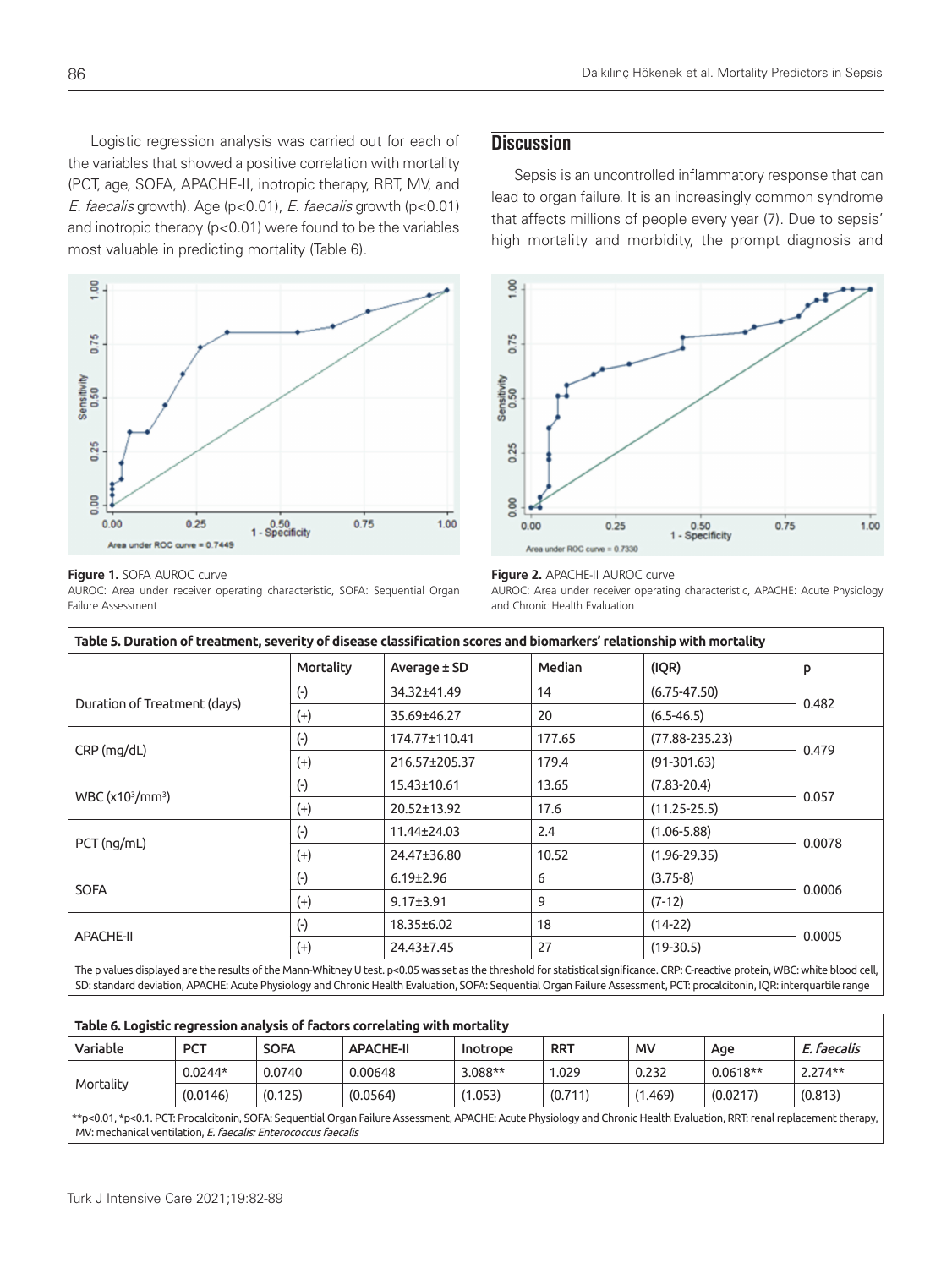Logistic regression analysis was carried out for each of the variables that showed a positive correlation with mortality (PCT, age, SOFA, APACHE-II, inotropic therapy, RRT, MV, and E. faecalis growth). Age (p<0.01), E. faecalis growth (p<0.01) and inotropic therapy (p<0.01) were found to be the variables most valuable in predicting mortality (Table 6).



#### **Figure 1.** SOFA AUROC curve

AUROC: Area under receiver operating characteristic, SOFA: Sequential Organ Failure Assessment

# **Discussion**

Sepsis is an uncontrolled inflammatory response that can lead to organ failure. It is an increasingly common syndrome that affects millions of people every year (7). Due to sepsis' high mortality and morbidity, the prompt diagnosis and



#### **Figure 2.** APACHE-II AUROC curve

AUROC: Area under receiver operating characteristic, APACHE: Acute Physiology and Chronic Health Evaluation

| Table 5. Duration of treatment, severity of disease classification scores and biomarkers' relationship with mortality |           |                 |        |                    |        |  |
|-----------------------------------------------------------------------------------------------------------------------|-----------|-----------------|--------|--------------------|--------|--|
|                                                                                                                       | Mortality | Average ± SD    | Median | (IQR)              | P      |  |
| Duration of Treatment (days)                                                                                          | $(\cdot)$ | 34.32±41.49     | 14     | $(6.75 - 47.50)$   |        |  |
|                                                                                                                       | $^{(+)}$  | 35.69±46.27     | 20     | $(6.5 - 46.5)$     | 0.482  |  |
| CRP (mg/dL)                                                                                                           | $(\cdot)$ | 174.77±110.41   | 177.65 | $(77.88 - 235.23)$ | 0.479  |  |
|                                                                                                                       | $(+)$     | 216.57±205.37   | 179.4  | $(91-301.63)$      |        |  |
| WBC (x10 <sup>3</sup> /mm <sup>3</sup> )                                                                              | $(\cdot)$ | 15.43±10.61     | 13.65  | $(7.83 - 20.4)$    |        |  |
|                                                                                                                       | $(+)$     | 20.52±13.92     | 17.6   | $(11.25 - 25.5)$   | 0.057  |  |
| $PCT$ (ng/mL)                                                                                                         | $(\cdot)$ | 11.44±24.03     | 2.4    | $(1.06 - 5.88)$    | 0.0078 |  |
|                                                                                                                       | $(+)$     | 24.47±36.80     | 10.52  | $(1.96 - 29.35)$   |        |  |
| <b>SOFA</b>                                                                                                           | $(\cdot)$ | $6.19 \pm 2.96$ | 6      | $(3.75-8)$         | 0.0006 |  |
|                                                                                                                       | $^{(+)}$  | $9.17 \pm 3.91$ | 9      | $(7-12)$           |        |  |
| <b>APACHE-II</b>                                                                                                      | $(\cdot)$ | 18.35±6.02      | 18     | $(14-22)$          |        |  |
|                                                                                                                       | $^{(+)}$  | 24.43±7.45      | 27     | $(19-30.5)$        | 0.0005 |  |

The p values displayed are the results of the Mann-Whitney U test. p<0.05 was set as the threshold for statistical significance. CRP: C-reactive protein, WBC: white blood cell, SD: standard deviation, APACHE: Acute Physiology and Chronic Health Evaluation, SOFA: Sequential Organ Failure Assessment, PCT: procalcitonin, IQR: interquartile range

| Table 6. Logistic regression analysis of factors correlating with mortality                                                                                                                                                                |            |             |                  |          |            |           |            |             |
|--------------------------------------------------------------------------------------------------------------------------------------------------------------------------------------------------------------------------------------------|------------|-------------|------------------|----------|------------|-----------|------------|-------------|
| Variable                                                                                                                                                                                                                                   | <b>PCT</b> | <b>SOFA</b> | <b>APACHE-II</b> | Inotrope | <b>RRT</b> | <b>MV</b> | Age        | E. faecalis |
| Mortality                                                                                                                                                                                                                                  | $0.0244*$  | 0.0740      | 0.00648          | 3.088**  | 1.029      | 0.232     | $0.0618**$ | $2.274**$   |
|                                                                                                                                                                                                                                            | (0.0146)   | (0.125)     | (0.0564)         | (1.053)  | (0.711)    | (1.469)   | (0.0217)   | (0.813)     |
| **p<0.01, *p<0.1. PCT: Procalcitonin, SOFA: Sequential Organ Failure Assessment, APACHE: Acute Physiology and Chronic Health Evaluation, RRT: renal replacement therapy,<br>MV: mechanical ventilation, E. faecalis: Enterococcus faecalis |            |             |                  |          |            |           |            |             |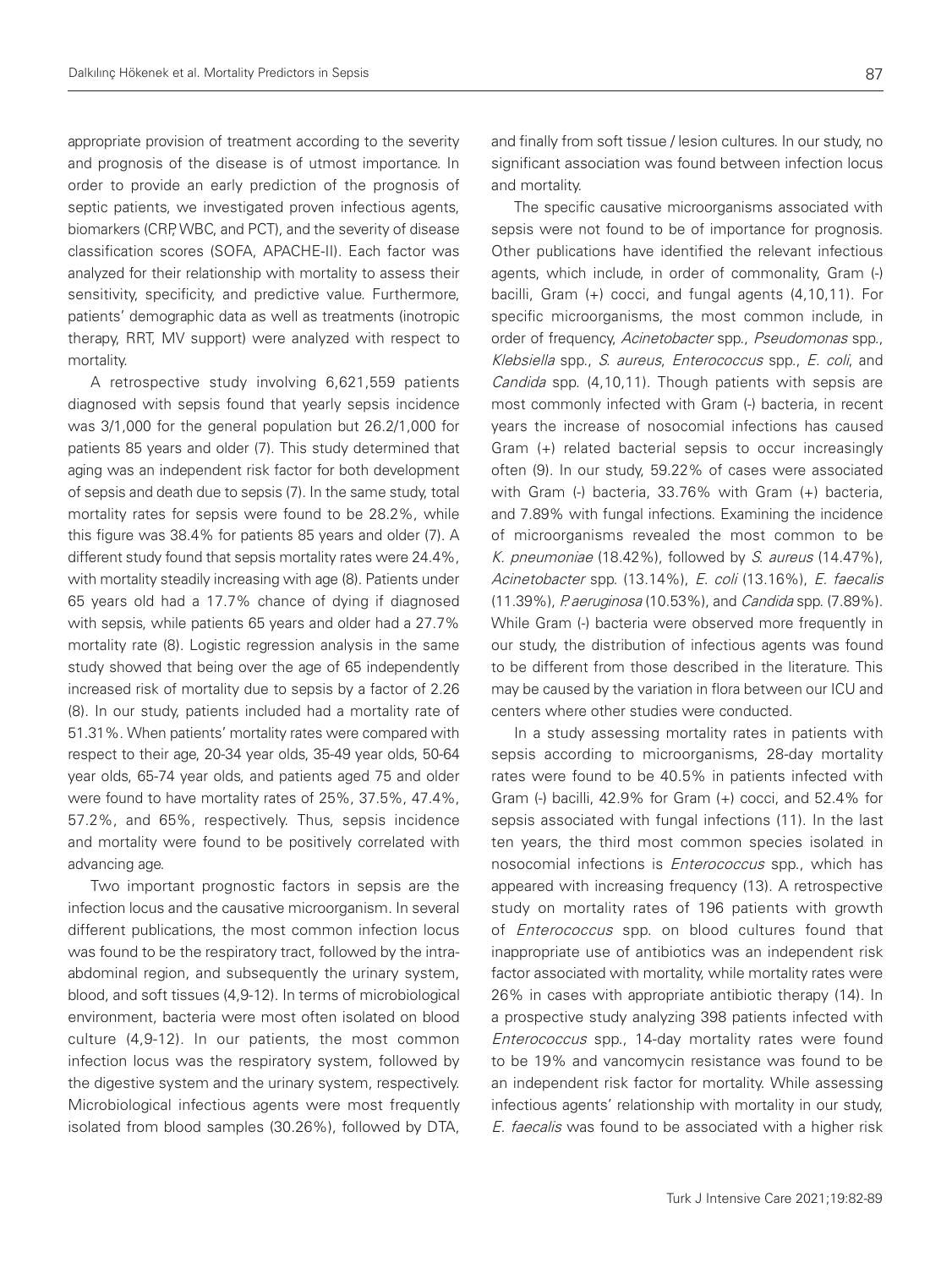appropriate provision of treatment according to the severity and prognosis of the disease is of utmost importance. In order to provide an early prediction of the prognosis of septic patients, we investigated proven infectious agents, biomarkers (CRP, WBC, and PCT), and the severity of disease classification scores (SOFA, APACHE-II). Each factor was analyzed for their relationship with mortality to assess their sensitivity, specificity, and predictive value. Furthermore, patients' demographic data as well as treatments (inotropic therapy, RRT, MV support) were analyzed with respect to mortality.

A retrospective study involving 6,621,559 patients diagnosed with sepsis found that yearly sepsis incidence was 3/1,000 for the general population but 26.2/1,000 for patients 85 years and older (7). This study determined that aging was an independent risk factor for both development of sepsis and death due to sepsis (7). In the same study, total mortality rates for sepsis were found to be 28.2%, while this figure was 38.4% for patients 85 years and older (7). A different study found that sepsis mortality rates were 24.4%, with mortality steadily increasing with age (8). Patients under 65 years old had a 17.7% chance of dying if diagnosed with sepsis, while patients 65 years and older had a 27.7% mortality rate (8). Logistic regression analysis in the same study showed that being over the age of 65 independently increased risk of mortality due to sepsis by a factor of 2.26 (8). In our study, patients included had a mortality rate of 51.31%. When patients' mortality rates were compared with respect to their age, 20-34 year olds, 35-49 year olds, 50-64 year olds, 65-74 year olds, and patients aged 75 and older were found to have mortality rates of 25%, 37.5%, 47.4%, 57.2%, and 65%, respectively. Thus, sepsis incidence and mortality were found to be positively correlated with advancing age.

Two important prognostic factors in sepsis are the infection locus and the causative microorganism. In several different publications, the most common infection locus was found to be the respiratory tract, followed by the intraabdominal region, and subsequently the urinary system, blood, and soft tissues (4,9-12). In terms of microbiological environment, bacteria were most often isolated on blood culture (4,9-12). In our patients, the most common infection locus was the respiratory system, followed by the digestive system and the urinary system, respectively. Microbiological infectious agents were most frequently isolated from blood samples (30.26%), followed by DTA,

and finally from soft tissue / lesion cultures. In our study, no significant association was found between infection locus and mortality.

The specific causative microorganisms associated with sepsis were not found to be of importance for prognosis. Other publications have identified the relevant infectious agents, which include, in order of commonality, Gram (-) bacilli, Gram (+) cocci, and fungal agents (4,10,11). For specific microorganisms, the most common include, in order of frequency, Acinetobacter spp., Pseudomonas spp., Klebsiella spp., S. aureus, Enterococcus spp., E. coli, and Candida spp. (4,10,11). Though patients with sepsis are most commonly infected with Gram (-) bacteria, in recent years the increase of nosocomial infections has caused Gram (+) related bacterial sepsis to occur increasingly often (9). In our study, 59.22% of cases were associated with Gram (-) bacteria, 33.76% with Gram (+) bacteria, and 7.89% with fungal infections. Examining the incidence of microorganisms revealed the most common to be K. pneumoniae (18.42%), followed by S. aureus (14.47%), Acinetobacter spp. (13.14%), E. coli (13.16%), E. faecalis (11.39%), P. aeruginosa (10.53%), and Candida spp. (7.89%). While Gram (-) bacteria were observed more frequently in our study, the distribution of infectious agents was found to be different from those described in the literature. This may be caused by the variation in flora between our ICU and centers where other studies were conducted.

In a study assessing mortality rates in patients with sepsis according to microorganisms, 28-day mortality rates were found to be 40.5% in patients infected with Gram (-) bacilli, 42.9% for Gram (+) cocci, and 52.4% for sepsis associated with fungal infections (11). In the last ten years, the third most common species isolated in nosocomial infections is Enterococcus spp., which has appeared with increasing frequency (13). A retrospective study on mortality rates of 196 patients with growth of *Enterococcus* spp. on blood cultures found that inappropriate use of antibiotics was an independent risk factor associated with mortality, while mortality rates were 26% in cases with appropriate antibiotic therapy (14). In a prospective study analyzing 398 patients infected with Enterococcus spp., 14-day mortality rates were found to be 19% and vancomycin resistance was found to be an independent risk factor for mortality. While assessing infectious agents' relationship with mortality in our study, E. faecalis was found to be associated with a higher risk

87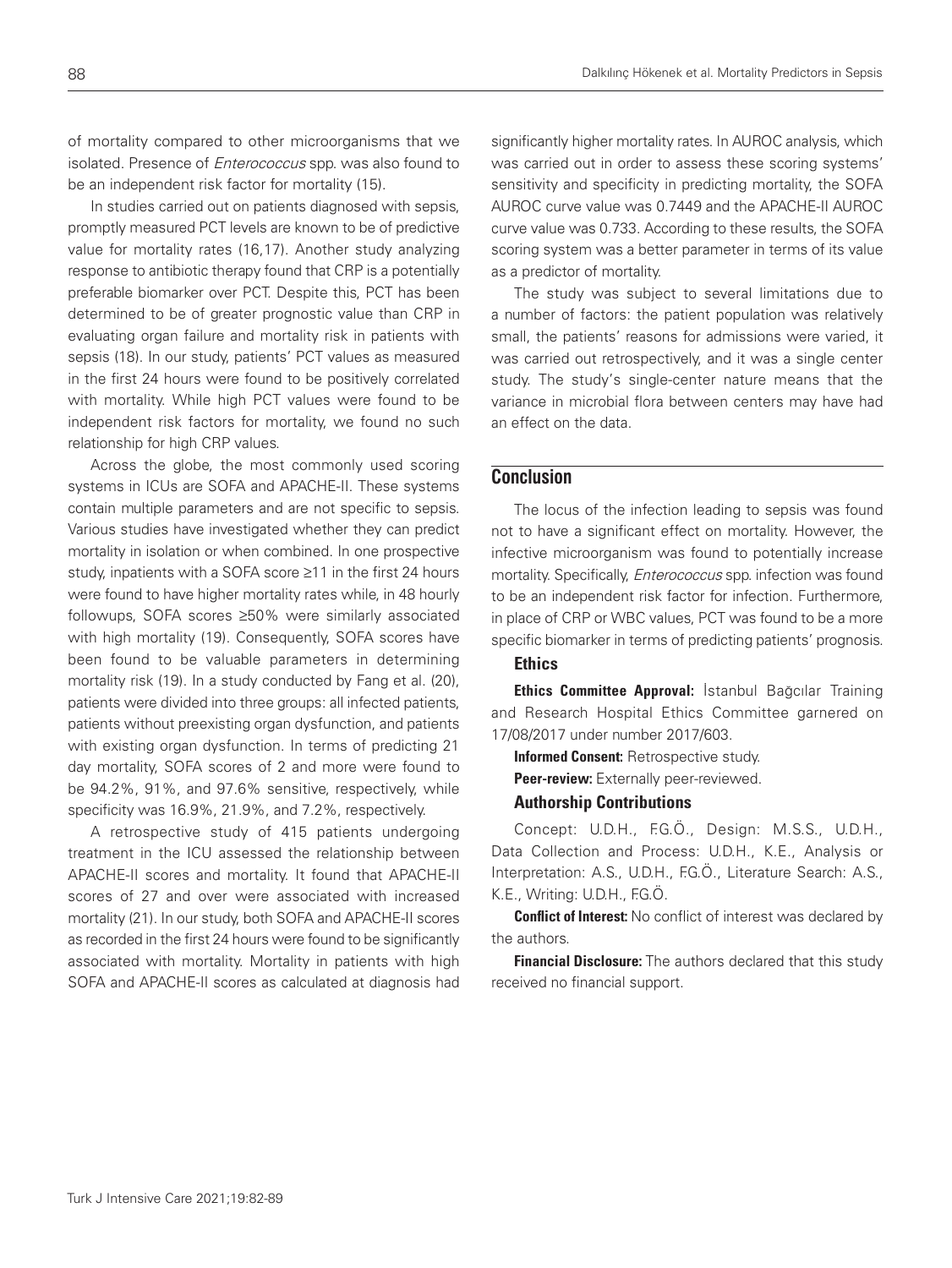of mortality compared to other microorganisms that we isolated. Presence of *Enterococcus* spp. was also found to be an independent risk factor for mortality (15).

In studies carried out on patients diagnosed with sepsis, promptly measured PCT levels are known to be of predictive value for mortality rates (16,17). Another study analyzing response to antibiotic therapy found that CRP is a potentially preferable biomarker over PCT. Despite this, PCT has been determined to be of greater prognostic value than CRP in evaluating organ failure and mortality risk in patients with sepsis (18). In our study, patients' PCT values as measured in the first 24 hours were found to be positively correlated with mortality. While high PCT values were found to be independent risk factors for mortality, we found no such relationship for high CRP values.

Across the globe, the most commonly used scoring systems in ICUs are SOFA and APACHE-II. These systems contain multiple parameters and are not specific to sepsis. Various studies have investigated whether they can predict mortality in isolation or when combined. In one prospective study, inpatients with a SOFA score ≥11 in the first 24 hours were found to have higher mortality rates while, in 48 hourly followups, SOFA scores ≥50% were similarly associated with high mortality (19). Consequently, SOFA scores have been found to be valuable parameters in determining mortality risk (19). In a study conducted by Fang et al. (20), patients were divided into three groups: all infected patients, patients without preexisting organ dysfunction, and patients with existing organ dysfunction. In terms of predicting 21 day mortality, SOFA scores of 2 and more were found to be 94.2%, 91%, and 97.6% sensitive, respectively, while specificity was 16.9%, 21.9%, and 7.2%, respectively.

A retrospective study of 415 patients undergoing treatment in the ICU assessed the relationship between APACHE-II scores and mortality. It found that APACHE-II scores of 27 and over were associated with increased mortality (21). In our study, both SOFA and APACHE-II scores as recorded in the first 24 hours were found to be significantly associated with mortality. Mortality in patients with high SOFA and APACHE-II scores as calculated at diagnosis had

significantly higher mortality rates. In AUROC analysis, which was carried out in order to assess these scoring systems' sensitivity and specificity in predicting mortality, the SOFA AUROC curve value was 0.7449 and the APACHE-II AUROC curve value was 0.733. According to these results, the SOFA scoring system was a better parameter in terms of its value as a predictor of mortality.

The study was subject to several limitations due to a number of factors: the patient population was relatively small, the patients' reasons for admissions were varied, it was carried out retrospectively, and it was a single center study. The study's single-center nature means that the variance in microbial flora between centers may have had an effect on the data.

# **Conclusion**

The locus of the infection leading to sepsis was found not to have a significant effect on mortality. However, the infective microorganism was found to potentially increase mortality. Specifically, *Enterococcus* spp. infection was found to be an independent risk factor for infection. Furthermore, in place of CRP or WBC values, PCT was found to be a more specific biomarker in terms of predicting patients' prognosis.

# **Ethics**

Ethics Committee Approval: İstanbul Bağcılar Training and Research Hospital Ethics Committee garnered on 17/08/2017 under number 2017/603.

Informed Consent: Retrospective study.

Peer-review: Externally peer-reviewed.

### Authorship Contributions

Concept: U.D.H., F.G.Ö., Design: M.S.S., U.D.H., Data Collection and Process: U.D.H., K.E., Analysis or Interpretation: A.S., U.D.H., F.G.Ö., Literature Search: A.S., K.E., Writing: U.D.H., F.G.O.

**Conflict of Interest:** No conflict of interest was declared by the authors.

Financial Disclosure: The authors declared that this study received no financial support.